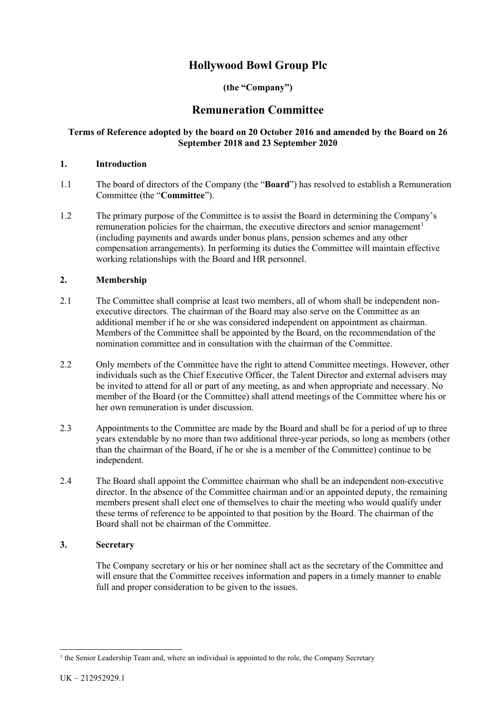# **Hollywood Bowl Group Plc**

## **(the "Company")**

## **Remuneration Committee**

## **Terms of Reference adopted by the board on 20 October 2016 and amended by the Board on 26 September 2018 and 23 September 2020**

#### **1. Introduction**

- 1.1 The board of directors of the Company (the "**Board**") has resolved to establish a Remuneration Committee (the "**Committee**").
- 1.2 The primary purpose of the Committee is to assist the Board in determining the Company's remuneration policies for the chairman, the executive directors and senior management<sup>[1](#page-0-0)</sup> (including payments and awards under bonus plans, pension schemes and any other compensation arrangements). In performing its duties the Committee will maintain effective working relationships with the Board and HR personnel.

## **2. Membership**

- 2.1 The Committee shall comprise at least two members, all of whom shall be independent nonexecutive directors. The chairman of the Board may also serve on the Committee as an additional member if he or she was considered independent on appointment as chairman. Members of the Committee shall be appointed by the Board, on the recommendation of the nomination committee and in consultation with the chairman of the Committee.
- 2.2 Only members of the Committee have the right to attend Committee meetings. However, other individuals such as the Chief Executive Officer, the Talent Director and external advisers may be invited to attend for all or part of any meeting, as and when appropriate and necessary. No member of the Board (or the Committee) shall attend meetings of the Committee where his or her own remuneration is under discussion.
- 2.3 Appointments to the Committee are made by the Board and shall be for a period of up to three years extendable by no more than two additional three-year periods, so long as members (other than the chairman of the Board, if he or she is a member of the Committee) continue to be independent.
- 2.4 The Board shall appoint the Committee chairman who shall be an independent non-executive director. In the absence of the Committee chairman and/or an appointed deputy, the remaining members present shall elect one of themselves to chair the meeting who would qualify under these terms of reference to be appointed to that position by the Board. The chairman of the Board shall not be chairman of the Committee.

#### **3. Secretary**

The Company secretary or his or her nominee shall act as the secretary of the Committee and will ensure that the Committee receives information and papers in a timely manner to enable full and proper consideration to be given to the issues.

<span id="page-0-0"></span> $<sup>1</sup>$  the Senior Leadership Team and, where an individual is appointed to the role, the Company Secretary</sup>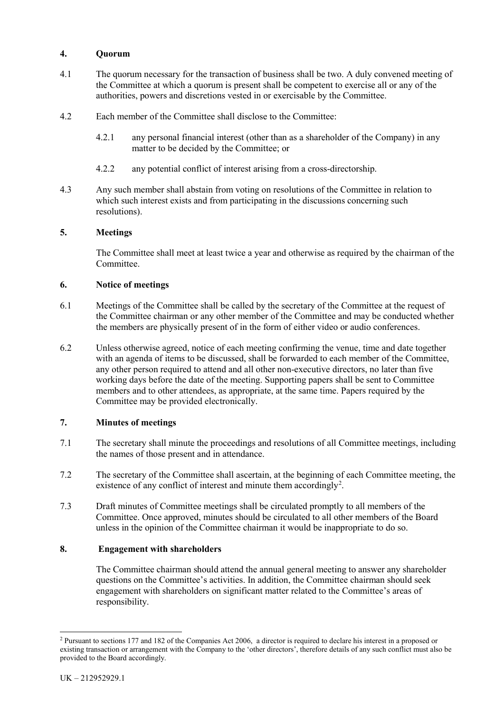## **4. Quorum**

- 4.1 The quorum necessary for the transaction of business shall be two. A duly convened meeting of the Committee at which a quorum is present shall be competent to exercise all or any of the authorities, powers and discretions vested in or exercisable by the Committee.
- 4.2 Each member of the Committee shall disclose to the Committee:
	- 4.2.1 any personal financial interest (other than as a shareholder of the Company) in any matter to be decided by the Committee; or
	- 4.2.2 any potential conflict of interest arising from a cross-directorship.
- 4.3 Any such member shall abstain from voting on resolutions of the Committee in relation to which such interest exists and from participating in the discussions concerning such resolutions).

#### **5. Meetings**

The Committee shall meet at least twice a year and otherwise as required by the chairman of the Committee.

#### **6. Notice of meetings**

- 6.1 Meetings of the Committee shall be called by the secretary of the Committee at the request of the Committee chairman or any other member of the Committee and may be conducted whether the members are physically present of in the form of either video or audio conferences.
- 6.2 Unless otherwise agreed, notice of each meeting confirming the venue, time and date together with an agenda of items to be discussed, shall be forwarded to each member of the Committee, any other person required to attend and all other non-executive directors, no later than five working days before the date of the meeting. Supporting papers shall be sent to Committee members and to other attendees, as appropriate, at the same time. Papers required by the Committee may be provided electronically.

## **7. Minutes of meetings**

- 7.1 The secretary shall minute the proceedings and resolutions of all Committee meetings, including the names of those present and in attendance.
- 7.2 The secretary of the Committee shall ascertain, at the beginning of each Committee meeting, the existence of any conflict of interest and minute them accordingly<sup>[2](#page-1-0)</sup>.
- 7.3 Draft minutes of Committee meetings shall be circulated promptly to all members of the Committee. Once approved, minutes should be circulated to all other members of the Board unless in the opinion of the Committee chairman it would be inappropriate to do so.

#### **8. Engagement with shareholders**

The Committee chairman should attend the annual general meeting to answer any shareholder questions on the Committee's activities. In addition, the Committee chairman should seek engagement with shareholders on significant matter related to the Committee's areas of responsibility.

<span id="page-1-0"></span> <sup>2</sup> Pursuant to sections 177 and 182 of the Companies Act 2006, a director is required to declare his interest in a proposed or existing transaction or arrangement with the Company to the 'other directors', therefore details of any such conflict must also be provided to the Board accordingly.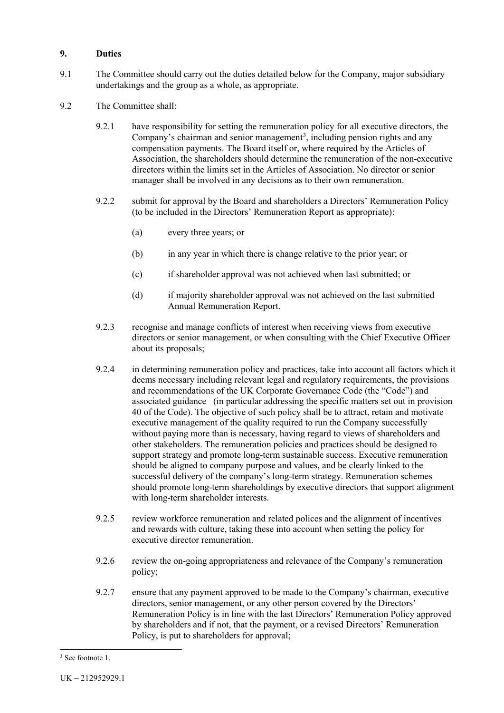## **9. Duties**

- 9.1 The Committee should carry out the duties detailed below for the Company, major subsidiary undertakings and the group as a whole, as appropriate.
- 9.2 The Committee shall:
	- 9.2.1 have responsibility for setting the remuneration policy for all executive directors, the Company's chairman and senior management<sup>[3](#page-2-0)</sup>, including pension rights and any compensation payments. The Board itself or, where required by the Articles of Association, the shareholders should determine the remuneration of the non-executive directors within the limits set in the Articles of Association. No director or senior manager shall be involved in any decisions as to their own remuneration.
	- 9.2.2 submit for approval by the Board and shareholders a Directors' Remuneration Policy (to be included in the Directors' Remuneration Report as appropriate):
		- (a) every three years; or
		- (b) in any year in which there is change relative to the prior year; or
		- (c) if shareholder approval was not achieved when last submitted; or
		- (d) if majority shareholder approval was not achieved on the last submitted Annual Remuneration Report.
	- 9.2.3 recognise and manage conflicts of interest when receiving views from executive directors or senior management, or when consulting with the Chief Executive Officer about its proposals;
	- 9.2.4 in determining remuneration policy and practices, take into account all factors which it deems necessary including relevant legal and regulatory requirements, the provisions and recommendations of the UK Corporate Governance Code (the "Code") and associated guidance (in particular addressing the specific matters set out in provision 40 of the Code). The objective of such policy shall be to attract, retain and motivate executive management of the quality required to run the Company successfully without paying more than is necessary, having regard to views of shareholders and other stakeholders. The remuneration policies and practices should be designed to support strategy and promote long-term sustainable success. Executive remuneration should be aligned to company purpose and values, and be clearly linked to the successful delivery of the company's long-term strategy. Remuneration schemes should promote long-term shareholdings by executive directors that support alignment with long-term shareholder interests.
	- 9.2.5 review workforce remuneration and related polices and the alignment of incentives and rewards with culture, taking these into account when setting the policy for executive director remuneration.
	- 9.2.6 review the on-going appropriateness and relevance of the Company's remuneration policy;
	- 9.2.7 ensure that any payment approved to be made to the Company's chairman, executive directors, senior management, or any other person covered by the Directors' Remuneration Policy is in line with the last Directors' Remuneration Policy approved by shareholders and if not, that the payment, or a revised Directors' Remuneration Policy, is put to shareholders for approval;

<span id="page-2-0"></span><sup>&</sup>lt;sup>3</sup> See footnote 1.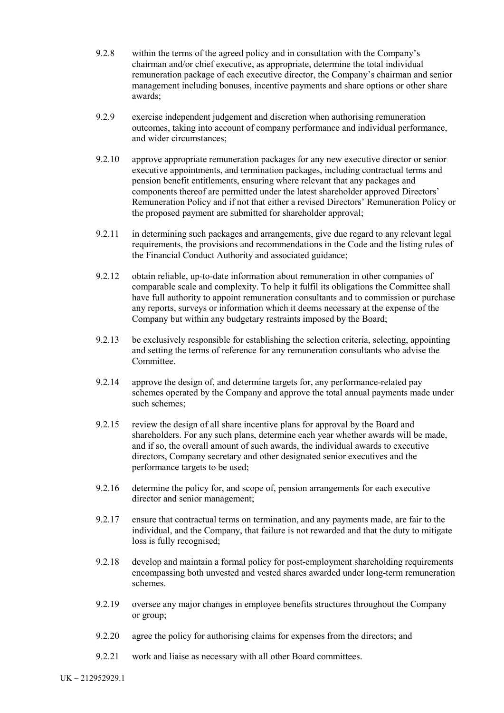- 9.2.8 within the terms of the agreed policy and in consultation with the Company's chairman and/or chief executive, as appropriate, determine the total individual remuneration package of each executive director, the Company's chairman and senior management including bonuses, incentive payments and share options or other share awards;
- 9.2.9 exercise independent judgement and discretion when authorising remuneration outcomes, taking into account of company performance and individual performance, and wider circumstances;
- 9.2.10 approve appropriate remuneration packages for any new executive director or senior executive appointments, and termination packages, including contractual terms and pension benefit entitlements, ensuring where relevant that any packages and components thereof are permitted under the latest shareholder approved Directors' Remuneration Policy and if not that either a revised Directors' Remuneration Policy or the proposed payment are submitted for shareholder approval;
- 9.2.11 in determining such packages and arrangements, give due regard to any relevant legal requirements, the provisions and recommendations in the Code and the listing rules of the Financial Conduct Authority and associated guidance;
- 9.2.12 obtain reliable, up-to-date information about remuneration in other companies of comparable scale and complexity. To help it fulfil its obligations the Committee shall have full authority to appoint remuneration consultants and to commission or purchase any reports, surveys or information which it deems necessary at the expense of the Company but within any budgetary restraints imposed by the Board;
- 9.2.13 be exclusively responsible for establishing the selection criteria, selecting, appointing and setting the terms of reference for any remuneration consultants who advise the Committee.
- 9.2.14 approve the design of, and determine targets for, any performance-related pay schemes operated by the Company and approve the total annual payments made under such schemes;
- 9.2.15 review the design of all share incentive plans for approval by the Board and shareholders. For any such plans, determine each year whether awards will be made, and if so, the overall amount of such awards, the individual awards to executive directors, Company secretary and other designated senior executives and the performance targets to be used;
- 9.2.16 determine the policy for, and scope of, pension arrangements for each executive director and senior management;
- 9.2.17 ensure that contractual terms on termination, and any payments made, are fair to the individual, and the Company, that failure is not rewarded and that the duty to mitigate loss is fully recognised;
- 9.2.18 develop and maintain a formal policy for post-employment shareholding requirements encompassing both unvested and vested shares awarded under long-term remuneration schemes.
- 9.2.19 oversee any major changes in employee benefits structures throughout the Company or group;
- 9.2.20 agree the policy for authorising claims for expenses from the directors; and
- 9.2.21 work and liaise as necessary with all other Board committees.